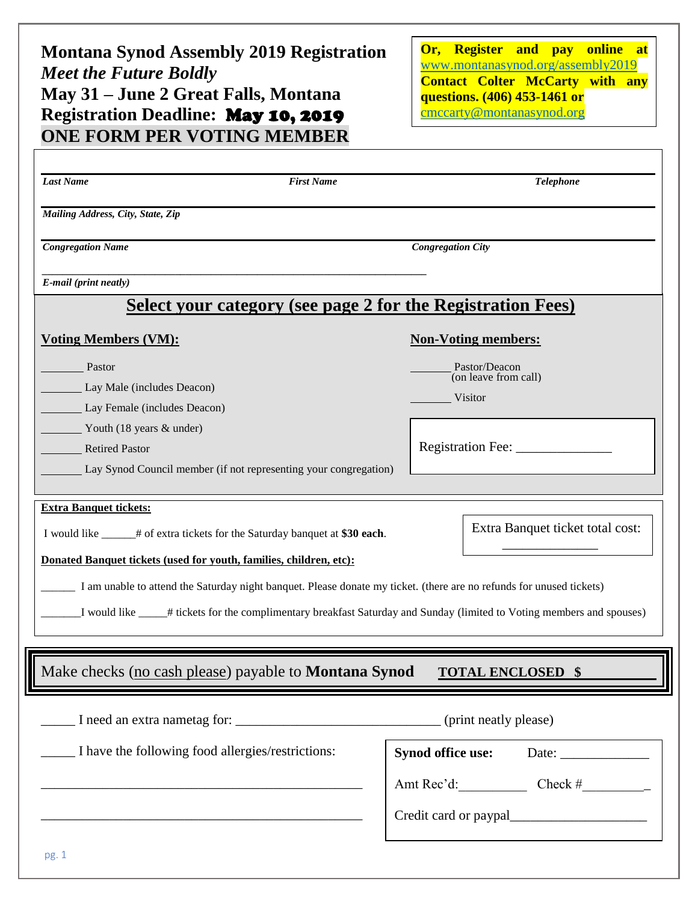## **Montana Synod Assembly 2019 Registration** *Meet the Future Boldly* **May 31 – June 2 Great Falls, Montana Registration Deadline:** May 10, 2019 **ONE FORM PER VOTING MEMBER**

 $\Gamma$ 

**Or, Register and pay online at**  [www.montanasynod.org/assembly2](http://www.montanasynod.org/assembly)019 **Contact Colter McCarty with any questions. (406) 453-1461 or** [cmccarty@montanasynod.org](mailto:cmccarty@montanasynod.org)

| Mailing Address, City, State, Zip<br><b>Congregation Name</b><br><b>Congregation City</b><br>E-mail (print neatly)<br><b>Select your category (see page 2 for the Registration Fees)</b><br><b>Non-Voting members:</b><br><b>Voting Members (VM):</b><br>Pastor<br>Pastor/Deacon<br>(on leave from call)<br>Lay Male (includes Deacon)<br>Visitor<br>Lay Female (includes Deacon)<br>Youth (18 years & under)<br>Registration Fee:<br><b>Retired Pastor</b><br>Lay Synod Council member (if not representing your congregation)<br><b>Extra Banquet tickets:</b><br>Extra Banquet ticket total cost:<br>I would like ______# of extra tickets for the Saturday banquet at \$30 each.<br>Donated Banquet tickets (used for youth, families, children, etc):<br>I am unable to attend the Saturday night banquet. Please donate my ticket. (there are no refunds for unused tickets)<br>I would like _____# tickets for the complimentary breakfast Saturday and Sunday (limited to Voting members and spouses)<br>Make checks (no cash please) payable to Montana Synod<br><b>TOTAL ENCLOSED \$</b><br>I have the following food allergies/restrictions:<br>Amt Rec'd: Check #<br>and the control of the control of the control of the control of the control of the control of the control of the | <b>Last Name</b> | <b>First Name</b> | <b>Telephone</b> |  |
|---------------------------------------------------------------------------------------------------------------------------------------------------------------------------------------------------------------------------------------------------------------------------------------------------------------------------------------------------------------------------------------------------------------------------------------------------------------------------------------------------------------------------------------------------------------------------------------------------------------------------------------------------------------------------------------------------------------------------------------------------------------------------------------------------------------------------------------------------------------------------------------------------------------------------------------------------------------------------------------------------------------------------------------------------------------------------------------------------------------------------------------------------------------------------------------------------------------------------------------------------------------------------------------------------|------------------|-------------------|------------------|--|
|                                                                                                                                                                                                                                                                                                                                                                                                                                                                                                                                                                                                                                                                                                                                                                                                                                                                                                                                                                                                                                                                                                                                                                                                                                                                                                   |                  |                   |                  |  |
|                                                                                                                                                                                                                                                                                                                                                                                                                                                                                                                                                                                                                                                                                                                                                                                                                                                                                                                                                                                                                                                                                                                                                                                                                                                                                                   |                  |                   |                  |  |
|                                                                                                                                                                                                                                                                                                                                                                                                                                                                                                                                                                                                                                                                                                                                                                                                                                                                                                                                                                                                                                                                                                                                                                                                                                                                                                   |                  |                   |                  |  |
|                                                                                                                                                                                                                                                                                                                                                                                                                                                                                                                                                                                                                                                                                                                                                                                                                                                                                                                                                                                                                                                                                                                                                                                                                                                                                                   |                  |                   |                  |  |
|                                                                                                                                                                                                                                                                                                                                                                                                                                                                                                                                                                                                                                                                                                                                                                                                                                                                                                                                                                                                                                                                                                                                                                                                                                                                                                   |                  |                   |                  |  |
|                                                                                                                                                                                                                                                                                                                                                                                                                                                                                                                                                                                                                                                                                                                                                                                                                                                                                                                                                                                                                                                                                                                                                                                                                                                                                                   |                  |                   |                  |  |
|                                                                                                                                                                                                                                                                                                                                                                                                                                                                                                                                                                                                                                                                                                                                                                                                                                                                                                                                                                                                                                                                                                                                                                                                                                                                                                   |                  |                   |                  |  |
|                                                                                                                                                                                                                                                                                                                                                                                                                                                                                                                                                                                                                                                                                                                                                                                                                                                                                                                                                                                                                                                                                                                                                                                                                                                                                                   |                  |                   |                  |  |
|                                                                                                                                                                                                                                                                                                                                                                                                                                                                                                                                                                                                                                                                                                                                                                                                                                                                                                                                                                                                                                                                                                                                                                                                                                                                                                   |                  |                   |                  |  |
|                                                                                                                                                                                                                                                                                                                                                                                                                                                                                                                                                                                                                                                                                                                                                                                                                                                                                                                                                                                                                                                                                                                                                                                                                                                                                                   |                  |                   |                  |  |
|                                                                                                                                                                                                                                                                                                                                                                                                                                                                                                                                                                                                                                                                                                                                                                                                                                                                                                                                                                                                                                                                                                                                                                                                                                                                                                   |                  |                   |                  |  |
|                                                                                                                                                                                                                                                                                                                                                                                                                                                                                                                                                                                                                                                                                                                                                                                                                                                                                                                                                                                                                                                                                                                                                                                                                                                                                                   |                  |                   |                  |  |
|                                                                                                                                                                                                                                                                                                                                                                                                                                                                                                                                                                                                                                                                                                                                                                                                                                                                                                                                                                                                                                                                                                                                                                                                                                                                                                   |                  |                   |                  |  |
|                                                                                                                                                                                                                                                                                                                                                                                                                                                                                                                                                                                                                                                                                                                                                                                                                                                                                                                                                                                                                                                                                                                                                                                                                                                                                                   |                  |                   |                  |  |
|                                                                                                                                                                                                                                                                                                                                                                                                                                                                                                                                                                                                                                                                                                                                                                                                                                                                                                                                                                                                                                                                                                                                                                                                                                                                                                   |                  |                   |                  |  |
|                                                                                                                                                                                                                                                                                                                                                                                                                                                                                                                                                                                                                                                                                                                                                                                                                                                                                                                                                                                                                                                                                                                                                                                                                                                                                                   |                  |                   |                  |  |
|                                                                                                                                                                                                                                                                                                                                                                                                                                                                                                                                                                                                                                                                                                                                                                                                                                                                                                                                                                                                                                                                                                                                                                                                                                                                                                   |                  |                   |                  |  |
|                                                                                                                                                                                                                                                                                                                                                                                                                                                                                                                                                                                                                                                                                                                                                                                                                                                                                                                                                                                                                                                                                                                                                                                                                                                                                                   |                  |                   |                  |  |
|                                                                                                                                                                                                                                                                                                                                                                                                                                                                                                                                                                                                                                                                                                                                                                                                                                                                                                                                                                                                                                                                                                                                                                                                                                                                                                   |                  |                   |                  |  |
|                                                                                                                                                                                                                                                                                                                                                                                                                                                                                                                                                                                                                                                                                                                                                                                                                                                                                                                                                                                                                                                                                                                                                                                                                                                                                                   |                  |                   |                  |  |
|                                                                                                                                                                                                                                                                                                                                                                                                                                                                                                                                                                                                                                                                                                                                                                                                                                                                                                                                                                                                                                                                                                                                                                                                                                                                                                   |                  |                   |                  |  |
|                                                                                                                                                                                                                                                                                                                                                                                                                                                                                                                                                                                                                                                                                                                                                                                                                                                                                                                                                                                                                                                                                                                                                                                                                                                                                                   |                  |                   |                  |  |
|                                                                                                                                                                                                                                                                                                                                                                                                                                                                                                                                                                                                                                                                                                                                                                                                                                                                                                                                                                                                                                                                                                                                                                                                                                                                                                   |                  |                   |                  |  |
|                                                                                                                                                                                                                                                                                                                                                                                                                                                                                                                                                                                                                                                                                                                                                                                                                                                                                                                                                                                                                                                                                                                                                                                                                                                                                                   |                  |                   |                  |  |